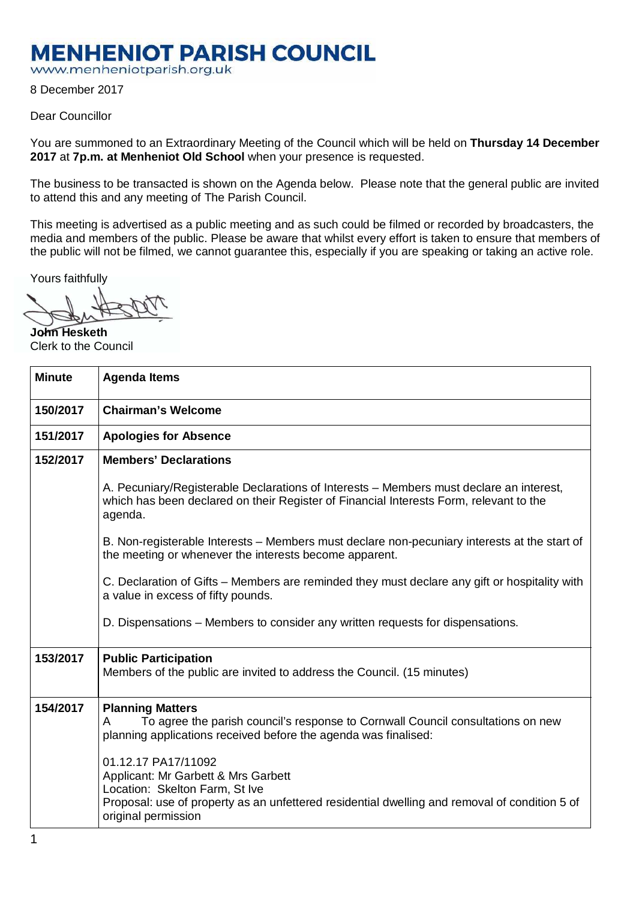## **MENHENIOT PARISH COUNCIL**

www.menheniotparish.org.uk

8 December 2017

## Dear Councillor

You are summoned to an Extraordinary Meeting of the Council which will be held on **Thursday 14 December 2017** at **7p.m. at Menheniot Old School** when your presence is requested.

The business to be transacted is shown on the Agenda below. Please note that the general public are invited to attend this and any meeting of The Parish Council.

This meeting is advertised as a public meeting and as such could be filmed or recorded by broadcasters, the media and members of the public. Please be aware that whilst every effort is taken to ensure that members of the public will not be filmed, we cannot guarantee this, especially if you are speaking or taking an active role.

Yours faithfully

**John Hesketh**  Clerk to the Council

| <b>Minute</b> | <b>Agenda Items</b>                                                                                                                                                                                                  |  |  |  |  |  |
|---------------|----------------------------------------------------------------------------------------------------------------------------------------------------------------------------------------------------------------------|--|--|--|--|--|
| 150/2017      | <b>Chairman's Welcome</b>                                                                                                                                                                                            |  |  |  |  |  |
| 151/2017      | <b>Apologies for Absence</b>                                                                                                                                                                                         |  |  |  |  |  |
| 152/2017      | <b>Members' Declarations</b>                                                                                                                                                                                         |  |  |  |  |  |
|               | A. Pecuniary/Registerable Declarations of Interests – Members must declare an interest,<br>which has been declared on their Register of Financial Interests Form, relevant to the<br>agenda.                         |  |  |  |  |  |
|               | B. Non-registerable Interests - Members must declare non-pecuniary interests at the start of<br>the meeting or whenever the interests become apparent.                                                               |  |  |  |  |  |
|               | C. Declaration of Gifts – Members are reminded they must declare any gift or hospitality with<br>a value in excess of fifty pounds.                                                                                  |  |  |  |  |  |
|               | D. Dispensations – Members to consider any written requests for dispensations.                                                                                                                                       |  |  |  |  |  |
| 153/2017      | <b>Public Participation</b><br>Members of the public are invited to address the Council. (15 minutes)                                                                                                                |  |  |  |  |  |
| 154/2017      | <b>Planning Matters</b><br>To agree the parish council's response to Cornwall Council consultations on new<br>A<br>planning applications received before the agenda was finalised:                                   |  |  |  |  |  |
|               | 01.12.17 PA17/11092<br>Applicant: Mr Garbett & Mrs Garbett<br>Location: Skelton Farm, St Ive<br>Proposal: use of property as an unfettered residential dwelling and removal of condition 5 of<br>original permission |  |  |  |  |  |